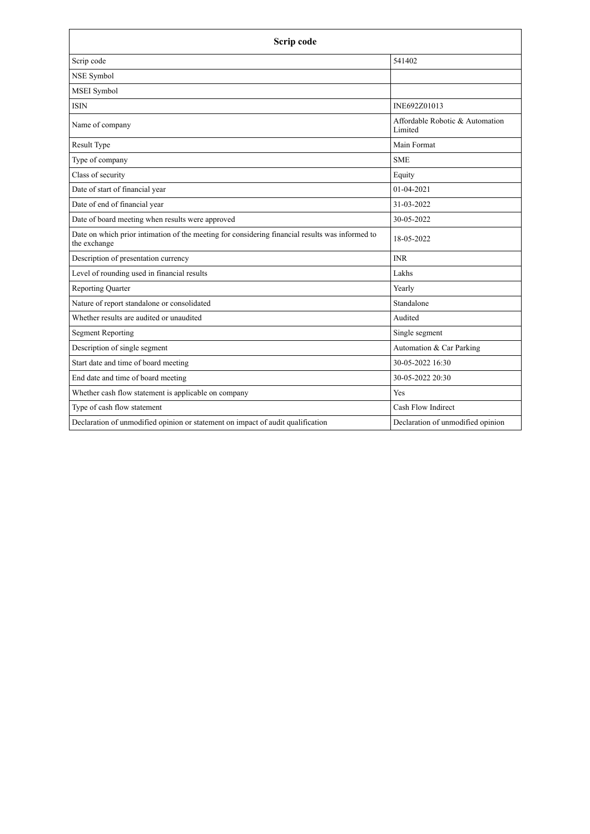| Scrip code                                                                                                      |                                            |
|-----------------------------------------------------------------------------------------------------------------|--------------------------------------------|
| Scrip code                                                                                                      | 541402                                     |
| NSE Symbol                                                                                                      |                                            |
| <b>MSEI</b> Symbol                                                                                              |                                            |
| <b>ISIN</b>                                                                                                     | INE692Z01013                               |
| Name of company                                                                                                 | Affordable Robotic & Automation<br>Limited |
| Result Type                                                                                                     | Main Format                                |
| Type of company                                                                                                 | <b>SME</b>                                 |
| Class of security                                                                                               | Equity                                     |
| Date of start of financial year                                                                                 | $01-04-2021$                               |
| Date of end of financial year                                                                                   | 31-03-2022                                 |
| Date of board meeting when results were approved                                                                | 30-05-2022                                 |
| Date on which prior intimation of the meeting for considering financial results was informed to<br>the exchange | 18-05-2022                                 |
| Description of presentation currency                                                                            | <b>INR</b>                                 |
| Level of rounding used in financial results                                                                     | Lakhs                                      |
| <b>Reporting Quarter</b>                                                                                        | Yearly                                     |
| Nature of report standalone or consolidated                                                                     | Standalone                                 |
| Whether results are audited or unaudited                                                                        | Audited                                    |
| <b>Segment Reporting</b>                                                                                        | Single segment                             |
| Description of single segment                                                                                   | Automation & Car Parking                   |
| Start date and time of board meeting                                                                            | 30-05-2022 16:30                           |
| End date and time of board meeting                                                                              | 30-05-2022 20:30                           |
| Whether cash flow statement is applicable on company                                                            | Yes                                        |
| Type of cash flow statement                                                                                     | Cash Flow Indirect                         |
| Declaration of unmodified opinion or statement on impact of audit qualification                                 | Declaration of unmodified opinion          |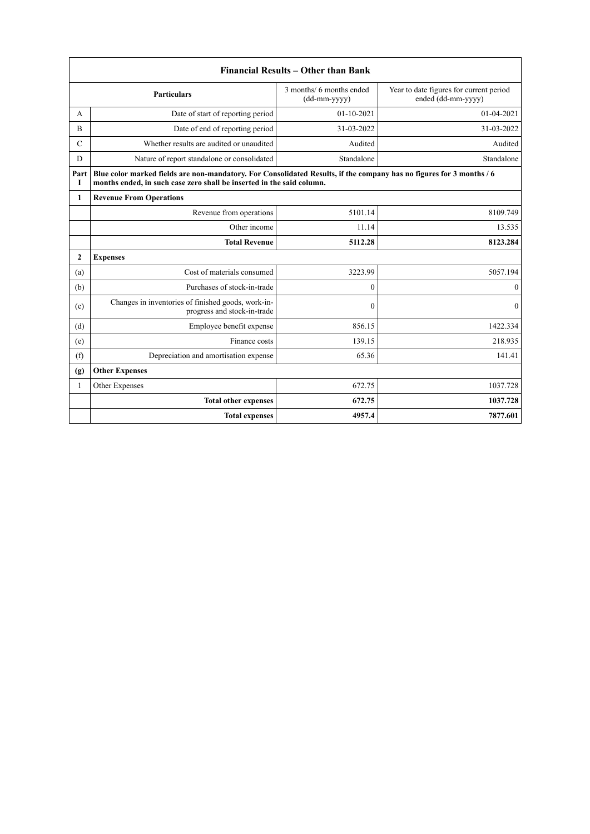|                             | Financial Results – Other than Bank                                                                                                                                                           |                                            |                                                               |  |
|-----------------------------|-----------------------------------------------------------------------------------------------------------------------------------------------------------------------------------------------|--------------------------------------------|---------------------------------------------------------------|--|
|                             | <b>Particulars</b>                                                                                                                                                                            | 3 months/ 6 months ended<br>$(dd-mm-yyyy)$ | Year to date figures for current period<br>ended (dd-mm-yyyy) |  |
| A                           | Date of start of reporting period                                                                                                                                                             | $01-10-2021$                               | $01 - 04 - 2021$                                              |  |
| $\overline{B}$              | Date of end of reporting period                                                                                                                                                               | 31-03-2022                                 | 31-03-2022                                                    |  |
| $\mathcal{C}$               | Whether results are audited or unaudited                                                                                                                                                      | Audited                                    | Audited                                                       |  |
| D                           | Nature of report standalone or consolidated                                                                                                                                                   | Standalone                                 | Standalone                                                    |  |
| Part<br>Т                   | Blue color marked fields are non-mandatory. For Consolidated Results, if the company has no figures for 3 months / 6<br>months ended, in such case zero shall be inserted in the said column. |                                            |                                                               |  |
| 1                           | <b>Revenue From Operations</b>                                                                                                                                                                |                                            |                                                               |  |
|                             | Revenue from operations                                                                                                                                                                       | 5101.14                                    | 8109.749                                                      |  |
|                             | Other income                                                                                                                                                                                  | 11.14                                      | 13.535                                                        |  |
|                             | <b>Total Revenue</b>                                                                                                                                                                          | 5112.28                                    | 8123.284                                                      |  |
| $\mathbf{2}$                | <b>Expenses</b>                                                                                                                                                                               |                                            |                                                               |  |
| (a)                         | Cost of materials consumed                                                                                                                                                                    | 3223.99                                    | 5057.194                                                      |  |
| (b)                         | Purchases of stock-in-trade                                                                                                                                                                   | $\mathbf{0}$                               | $\mathbf{0}$                                                  |  |
| (c)                         | Changes in inventories of finished goods, work-in-<br>progress and stock-in-trade                                                                                                             | $\theta$                                   | $\theta$                                                      |  |
| (d)                         | Employee benefit expense                                                                                                                                                                      | 856.15                                     | 1422.334                                                      |  |
| (e)                         | Finance costs                                                                                                                                                                                 | 139.15                                     | 218.935                                                       |  |
| (f)                         | Depreciation and amortisation expense                                                                                                                                                         | 65.36                                      | 141.41                                                        |  |
| $\left( \mathbf{g} \right)$ | <b>Other Expenses</b>                                                                                                                                                                         |                                            |                                                               |  |
| 1                           | Other Expenses                                                                                                                                                                                | 672.75                                     | 1037.728                                                      |  |
|                             | <b>Total other expenses</b>                                                                                                                                                                   | 672.75                                     | 1037.728                                                      |  |
|                             | <b>Total expenses</b>                                                                                                                                                                         | 4957.4                                     | 7877.601                                                      |  |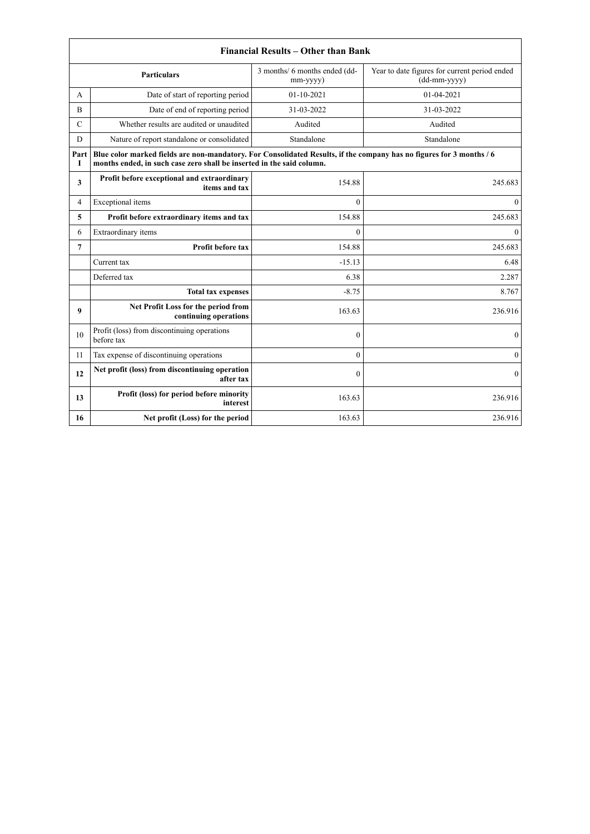|               |                                                                                                                                                                                               | <b>Financial Results - Other than Bank</b> |                                                               |
|---------------|-----------------------------------------------------------------------------------------------------------------------------------------------------------------------------------------------|--------------------------------------------|---------------------------------------------------------------|
|               | <b>Particulars</b>                                                                                                                                                                            | 3 months/ 6 months ended (dd-<br>mm-yyyy)  | Year to date figures for current period ended<br>(dd-mm-yyyy) |
| A             | Date of start of reporting period                                                                                                                                                             | 01-10-2021                                 | $01 - 04 - 2021$                                              |
| B             | Date of end of reporting period                                                                                                                                                               | 31-03-2022                                 | 31-03-2022                                                    |
| $\mathcal{C}$ | Whether results are audited or unaudited                                                                                                                                                      | Audited                                    | Audited                                                       |
| D             | Nature of report standalone or consolidated                                                                                                                                                   | Standalone                                 | Standalone                                                    |
| Part<br>Т     | Blue color marked fields are non-mandatory. For Consolidated Results, if the company has no figures for 3 months / 6<br>months ended, in such case zero shall be inserted in the said column. |                                            |                                                               |
| 3             | Profit before exceptional and extraordinary<br>items and tax                                                                                                                                  | 154.88                                     | 245.683                                                       |
| 4             | Exceptional items                                                                                                                                                                             | $\theta$                                   | $\theta$                                                      |
| 5             | Profit before extraordinary items and tax                                                                                                                                                     | 154.88                                     | 245.683                                                       |
| 6             | Extraordinary items                                                                                                                                                                           | $\theta$                                   | $\Omega$                                                      |
| 7             | Profit before tax                                                                                                                                                                             | 154.88                                     | 245.683                                                       |
|               | Current tax                                                                                                                                                                                   | $-15.13$                                   | 6.48                                                          |
|               | Deferred tax                                                                                                                                                                                  | 6.38                                       | 2.287                                                         |
|               | <b>Total tax expenses</b>                                                                                                                                                                     | $-8.75$                                    | 8.767                                                         |
| 9             | Net Profit Loss for the period from<br>continuing operations                                                                                                                                  | 163.63                                     | 236.916                                                       |
| 10            | Profit (loss) from discontinuing operations<br>before tax                                                                                                                                     | $\theta$                                   | $\mathbf{0}$                                                  |
| 11            | Tax expense of discontinuing operations                                                                                                                                                       | $\Omega$                                   | $\Omega$                                                      |
| 12            | Net profit (loss) from discontinuing operation<br>after tax                                                                                                                                   | $\Omega$                                   | $\Omega$                                                      |
| 13            | Profit (loss) for period before minority<br>interest                                                                                                                                          | 163.63                                     | 236.916                                                       |
| 16            | Net profit (Loss) for the period                                                                                                                                                              | 163.63                                     | 236.916                                                       |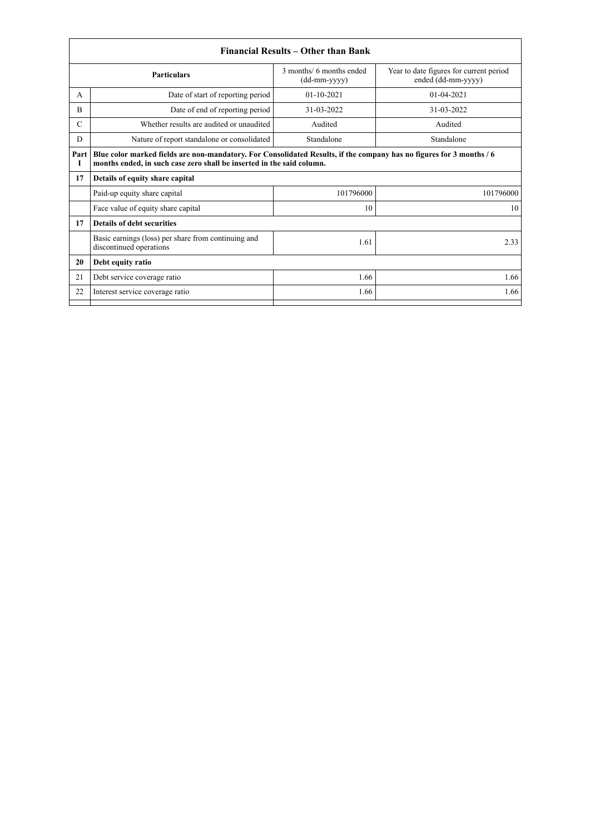|               |                                                                                                                                                                                               | Financial Results - Other than Bank        |                                                               |
|---------------|-----------------------------------------------------------------------------------------------------------------------------------------------------------------------------------------------|--------------------------------------------|---------------------------------------------------------------|
|               | <b>Particulars</b>                                                                                                                                                                            | 3 months/ 6 months ended<br>$(dd-mm-yyyy)$ | Year to date figures for current period<br>ended (dd-mm-yyyy) |
| A             | Date of start of reporting period                                                                                                                                                             | $01 - 10 - 2021$                           | $01-04-2021$                                                  |
| B             | Date of end of reporting period                                                                                                                                                               | 31-03-2022                                 | 31-03-2022                                                    |
| $\mathcal{C}$ | Whether results are audited or unaudited                                                                                                                                                      | Audited                                    | Audited                                                       |
| D             | Nature of report standalone or consolidated                                                                                                                                                   | Standalone                                 | Standalone                                                    |
| Part<br>1     | Blue color marked fields are non-mandatory. For Consolidated Results, if the company has no figures for 3 months / 6<br>months ended, in such case zero shall be inserted in the said column. |                                            |                                                               |
| 17            | Details of equity share capital                                                                                                                                                               |                                            |                                                               |
|               | Paid-up equity share capital                                                                                                                                                                  | 101796000                                  | 101796000                                                     |
|               | Face value of equity share capital                                                                                                                                                            | 10                                         | 10                                                            |
| 17            | <b>Details of debt securities</b>                                                                                                                                                             |                                            |                                                               |
|               | Basic earnings (loss) per share from continuing and<br>discontinued operations                                                                                                                | 1.61                                       | 2.33                                                          |
| 20            | Debt equity ratio                                                                                                                                                                             |                                            |                                                               |
| 21            | Debt service coverage ratio                                                                                                                                                                   | 1.66                                       | 1.66                                                          |
| 22            | Interest service coverage ratio                                                                                                                                                               | 1.66                                       | 1.66                                                          |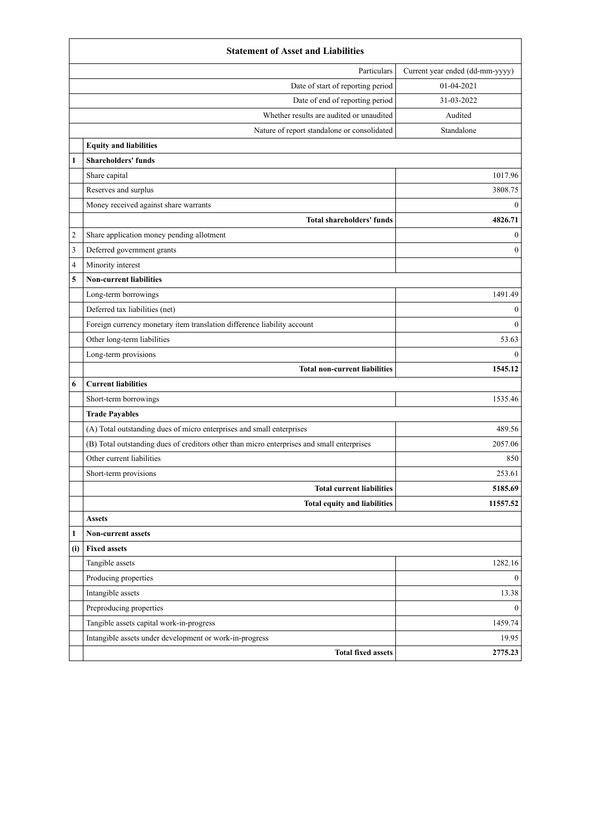| Particulars<br>Current year ended (dd-mm-yyyy)<br>01-04-2021<br>Date of start of reporting period<br>Date of end of reporting period<br>31-03-2022<br>Whether results are audited or unaudited<br>Audited<br>Standalone<br>Nature of report standalone or consolidated<br><b>Equity and liabilities</b><br><b>Shareholders' funds</b><br>$\mathbf{1}$<br>Share capital<br>1017.96<br>Reserves and surplus<br>3808.75<br>Money received against share warrants<br>$\bf{0}$<br>4826.71<br><b>Total shareholders' funds</b><br>Share application money pending allotment<br>2<br>$\mathbf{0}$<br>3<br>Deferred government grants<br>$\mathbf{0}$<br>Minority interest<br>4<br>5<br><b>Non-current liabilities</b><br>1491.49<br>Long-term borrowings<br>Deferred tax liabilities (net)<br>$\boldsymbol{0}$<br>$\mathbf{0}$<br>Foreign currency monetary item translation difference liability account<br>Other long-term liabilities<br>53.63<br>Long-term provisions<br>$\left( \right)$<br>1545.12<br><b>Total non-current liabilities</b><br><b>Current liabilities</b><br>6<br>1535.46<br>Short-term borrowings<br><b>Trade Payables</b><br>489.56<br>(A) Total outstanding dues of micro enterprises and small enterprises<br>(B) Total outstanding dues of creditors other than micro enterprises and small enterprises<br>2057.06<br>Other current liabilities<br>850<br>253.61<br>Short-term provisions<br><b>Total current liabilities</b><br>5185.69<br><b>Total equity and liabilities</b><br>11557.52<br><b>Assets</b><br>1<br><b>Non-current assets</b><br><b>Fixed assets</b><br>(i)<br>Tangible assets<br>1282.16<br>Producing properties<br>$\mathbf{0}$<br>Intangible assets<br>13.38<br>Preproducing properties<br>$\mathbf{0}$<br>Tangible assets capital work-in-progress<br>1459.74<br>Intangible assets under development or work-in-progress<br>19.95<br>2775.23<br><b>Total fixed assets</b> | <b>Statement of Asset and Liabilities</b> |  |
|-------------------------------------------------------------------------------------------------------------------------------------------------------------------------------------------------------------------------------------------------------------------------------------------------------------------------------------------------------------------------------------------------------------------------------------------------------------------------------------------------------------------------------------------------------------------------------------------------------------------------------------------------------------------------------------------------------------------------------------------------------------------------------------------------------------------------------------------------------------------------------------------------------------------------------------------------------------------------------------------------------------------------------------------------------------------------------------------------------------------------------------------------------------------------------------------------------------------------------------------------------------------------------------------------------------------------------------------------------------------------------------------------------------------------------------------------------------------------------------------------------------------------------------------------------------------------------------------------------------------------------------------------------------------------------------------------------------------------------------------------------------------------------------------------------------------------------------------------------------------------------------------------------------------|-------------------------------------------|--|
|                                                                                                                                                                                                                                                                                                                                                                                                                                                                                                                                                                                                                                                                                                                                                                                                                                                                                                                                                                                                                                                                                                                                                                                                                                                                                                                                                                                                                                                                                                                                                                                                                                                                                                                                                                                                                                                                                                                   |                                           |  |
|                                                                                                                                                                                                                                                                                                                                                                                                                                                                                                                                                                                                                                                                                                                                                                                                                                                                                                                                                                                                                                                                                                                                                                                                                                                                                                                                                                                                                                                                                                                                                                                                                                                                                                                                                                                                                                                                                                                   |                                           |  |
|                                                                                                                                                                                                                                                                                                                                                                                                                                                                                                                                                                                                                                                                                                                                                                                                                                                                                                                                                                                                                                                                                                                                                                                                                                                                                                                                                                                                                                                                                                                                                                                                                                                                                                                                                                                                                                                                                                                   |                                           |  |
|                                                                                                                                                                                                                                                                                                                                                                                                                                                                                                                                                                                                                                                                                                                                                                                                                                                                                                                                                                                                                                                                                                                                                                                                                                                                                                                                                                                                                                                                                                                                                                                                                                                                                                                                                                                                                                                                                                                   |                                           |  |
|                                                                                                                                                                                                                                                                                                                                                                                                                                                                                                                                                                                                                                                                                                                                                                                                                                                                                                                                                                                                                                                                                                                                                                                                                                                                                                                                                                                                                                                                                                                                                                                                                                                                                                                                                                                                                                                                                                                   |                                           |  |
|                                                                                                                                                                                                                                                                                                                                                                                                                                                                                                                                                                                                                                                                                                                                                                                                                                                                                                                                                                                                                                                                                                                                                                                                                                                                                                                                                                                                                                                                                                                                                                                                                                                                                                                                                                                                                                                                                                                   |                                           |  |
|                                                                                                                                                                                                                                                                                                                                                                                                                                                                                                                                                                                                                                                                                                                                                                                                                                                                                                                                                                                                                                                                                                                                                                                                                                                                                                                                                                                                                                                                                                                                                                                                                                                                                                                                                                                                                                                                                                                   |                                           |  |
|                                                                                                                                                                                                                                                                                                                                                                                                                                                                                                                                                                                                                                                                                                                                                                                                                                                                                                                                                                                                                                                                                                                                                                                                                                                                                                                                                                                                                                                                                                                                                                                                                                                                                                                                                                                                                                                                                                                   |                                           |  |
|                                                                                                                                                                                                                                                                                                                                                                                                                                                                                                                                                                                                                                                                                                                                                                                                                                                                                                                                                                                                                                                                                                                                                                                                                                                                                                                                                                                                                                                                                                                                                                                                                                                                                                                                                                                                                                                                                                                   |                                           |  |
|                                                                                                                                                                                                                                                                                                                                                                                                                                                                                                                                                                                                                                                                                                                                                                                                                                                                                                                                                                                                                                                                                                                                                                                                                                                                                                                                                                                                                                                                                                                                                                                                                                                                                                                                                                                                                                                                                                                   |                                           |  |
|                                                                                                                                                                                                                                                                                                                                                                                                                                                                                                                                                                                                                                                                                                                                                                                                                                                                                                                                                                                                                                                                                                                                                                                                                                                                                                                                                                                                                                                                                                                                                                                                                                                                                                                                                                                                                                                                                                                   |                                           |  |
|                                                                                                                                                                                                                                                                                                                                                                                                                                                                                                                                                                                                                                                                                                                                                                                                                                                                                                                                                                                                                                                                                                                                                                                                                                                                                                                                                                                                                                                                                                                                                                                                                                                                                                                                                                                                                                                                                                                   |                                           |  |
|                                                                                                                                                                                                                                                                                                                                                                                                                                                                                                                                                                                                                                                                                                                                                                                                                                                                                                                                                                                                                                                                                                                                                                                                                                                                                                                                                                                                                                                                                                                                                                                                                                                                                                                                                                                                                                                                                                                   |                                           |  |
|                                                                                                                                                                                                                                                                                                                                                                                                                                                                                                                                                                                                                                                                                                                                                                                                                                                                                                                                                                                                                                                                                                                                                                                                                                                                                                                                                                                                                                                                                                                                                                                                                                                                                                                                                                                                                                                                                                                   |                                           |  |
|                                                                                                                                                                                                                                                                                                                                                                                                                                                                                                                                                                                                                                                                                                                                                                                                                                                                                                                                                                                                                                                                                                                                                                                                                                                                                                                                                                                                                                                                                                                                                                                                                                                                                                                                                                                                                                                                                                                   |                                           |  |
|                                                                                                                                                                                                                                                                                                                                                                                                                                                                                                                                                                                                                                                                                                                                                                                                                                                                                                                                                                                                                                                                                                                                                                                                                                                                                                                                                                                                                                                                                                                                                                                                                                                                                                                                                                                                                                                                                                                   |                                           |  |
|                                                                                                                                                                                                                                                                                                                                                                                                                                                                                                                                                                                                                                                                                                                                                                                                                                                                                                                                                                                                                                                                                                                                                                                                                                                                                                                                                                                                                                                                                                                                                                                                                                                                                                                                                                                                                                                                                                                   |                                           |  |
|                                                                                                                                                                                                                                                                                                                                                                                                                                                                                                                                                                                                                                                                                                                                                                                                                                                                                                                                                                                                                                                                                                                                                                                                                                                                                                                                                                                                                                                                                                                                                                                                                                                                                                                                                                                                                                                                                                                   |                                           |  |
|                                                                                                                                                                                                                                                                                                                                                                                                                                                                                                                                                                                                                                                                                                                                                                                                                                                                                                                                                                                                                                                                                                                                                                                                                                                                                                                                                                                                                                                                                                                                                                                                                                                                                                                                                                                                                                                                                                                   |                                           |  |
|                                                                                                                                                                                                                                                                                                                                                                                                                                                                                                                                                                                                                                                                                                                                                                                                                                                                                                                                                                                                                                                                                                                                                                                                                                                                                                                                                                                                                                                                                                                                                                                                                                                                                                                                                                                                                                                                                                                   |                                           |  |
|                                                                                                                                                                                                                                                                                                                                                                                                                                                                                                                                                                                                                                                                                                                                                                                                                                                                                                                                                                                                                                                                                                                                                                                                                                                                                                                                                                                                                                                                                                                                                                                                                                                                                                                                                                                                                                                                                                                   |                                           |  |
|                                                                                                                                                                                                                                                                                                                                                                                                                                                                                                                                                                                                                                                                                                                                                                                                                                                                                                                                                                                                                                                                                                                                                                                                                                                                                                                                                                                                                                                                                                                                                                                                                                                                                                                                                                                                                                                                                                                   |                                           |  |
|                                                                                                                                                                                                                                                                                                                                                                                                                                                                                                                                                                                                                                                                                                                                                                                                                                                                                                                                                                                                                                                                                                                                                                                                                                                                                                                                                                                                                                                                                                                                                                                                                                                                                                                                                                                                                                                                                                                   |                                           |  |
|                                                                                                                                                                                                                                                                                                                                                                                                                                                                                                                                                                                                                                                                                                                                                                                                                                                                                                                                                                                                                                                                                                                                                                                                                                                                                                                                                                                                                                                                                                                                                                                                                                                                                                                                                                                                                                                                                                                   |                                           |  |
|                                                                                                                                                                                                                                                                                                                                                                                                                                                                                                                                                                                                                                                                                                                                                                                                                                                                                                                                                                                                                                                                                                                                                                                                                                                                                                                                                                                                                                                                                                                                                                                                                                                                                                                                                                                                                                                                                                                   |                                           |  |
|                                                                                                                                                                                                                                                                                                                                                                                                                                                                                                                                                                                                                                                                                                                                                                                                                                                                                                                                                                                                                                                                                                                                                                                                                                                                                                                                                                                                                                                                                                                                                                                                                                                                                                                                                                                                                                                                                                                   |                                           |  |
|                                                                                                                                                                                                                                                                                                                                                                                                                                                                                                                                                                                                                                                                                                                                                                                                                                                                                                                                                                                                                                                                                                                                                                                                                                                                                                                                                                                                                                                                                                                                                                                                                                                                                                                                                                                                                                                                                                                   |                                           |  |
|                                                                                                                                                                                                                                                                                                                                                                                                                                                                                                                                                                                                                                                                                                                                                                                                                                                                                                                                                                                                                                                                                                                                                                                                                                                                                                                                                                                                                                                                                                                                                                                                                                                                                                                                                                                                                                                                                                                   |                                           |  |
|                                                                                                                                                                                                                                                                                                                                                                                                                                                                                                                                                                                                                                                                                                                                                                                                                                                                                                                                                                                                                                                                                                                                                                                                                                                                                                                                                                                                                                                                                                                                                                                                                                                                                                                                                                                                                                                                                                                   |                                           |  |
|                                                                                                                                                                                                                                                                                                                                                                                                                                                                                                                                                                                                                                                                                                                                                                                                                                                                                                                                                                                                                                                                                                                                                                                                                                                                                                                                                                                                                                                                                                                                                                                                                                                                                                                                                                                                                                                                                                                   |                                           |  |
|                                                                                                                                                                                                                                                                                                                                                                                                                                                                                                                                                                                                                                                                                                                                                                                                                                                                                                                                                                                                                                                                                                                                                                                                                                                                                                                                                                                                                                                                                                                                                                                                                                                                                                                                                                                                                                                                                                                   |                                           |  |
|                                                                                                                                                                                                                                                                                                                                                                                                                                                                                                                                                                                                                                                                                                                                                                                                                                                                                                                                                                                                                                                                                                                                                                                                                                                                                                                                                                                                                                                                                                                                                                                                                                                                                                                                                                                                                                                                                                                   |                                           |  |
|                                                                                                                                                                                                                                                                                                                                                                                                                                                                                                                                                                                                                                                                                                                                                                                                                                                                                                                                                                                                                                                                                                                                                                                                                                                                                                                                                                                                                                                                                                                                                                                                                                                                                                                                                                                                                                                                                                                   |                                           |  |
|                                                                                                                                                                                                                                                                                                                                                                                                                                                                                                                                                                                                                                                                                                                                                                                                                                                                                                                                                                                                                                                                                                                                                                                                                                                                                                                                                                                                                                                                                                                                                                                                                                                                                                                                                                                                                                                                                                                   |                                           |  |
|                                                                                                                                                                                                                                                                                                                                                                                                                                                                                                                                                                                                                                                                                                                                                                                                                                                                                                                                                                                                                                                                                                                                                                                                                                                                                                                                                                                                                                                                                                                                                                                                                                                                                                                                                                                                                                                                                                                   |                                           |  |
|                                                                                                                                                                                                                                                                                                                                                                                                                                                                                                                                                                                                                                                                                                                                                                                                                                                                                                                                                                                                                                                                                                                                                                                                                                                                                                                                                                                                                                                                                                                                                                                                                                                                                                                                                                                                                                                                                                                   |                                           |  |
|                                                                                                                                                                                                                                                                                                                                                                                                                                                                                                                                                                                                                                                                                                                                                                                                                                                                                                                                                                                                                                                                                                                                                                                                                                                                                                                                                                                                                                                                                                                                                                                                                                                                                                                                                                                                                                                                                                                   |                                           |  |
|                                                                                                                                                                                                                                                                                                                                                                                                                                                                                                                                                                                                                                                                                                                                                                                                                                                                                                                                                                                                                                                                                                                                                                                                                                                                                                                                                                                                                                                                                                                                                                                                                                                                                                                                                                                                                                                                                                                   |                                           |  |
|                                                                                                                                                                                                                                                                                                                                                                                                                                                                                                                                                                                                                                                                                                                                                                                                                                                                                                                                                                                                                                                                                                                                                                                                                                                                                                                                                                                                                                                                                                                                                                                                                                                                                                                                                                                                                                                                                                                   |                                           |  |
|                                                                                                                                                                                                                                                                                                                                                                                                                                                                                                                                                                                                                                                                                                                                                                                                                                                                                                                                                                                                                                                                                                                                                                                                                                                                                                                                                                                                                                                                                                                                                                                                                                                                                                                                                                                                                                                                                                                   |                                           |  |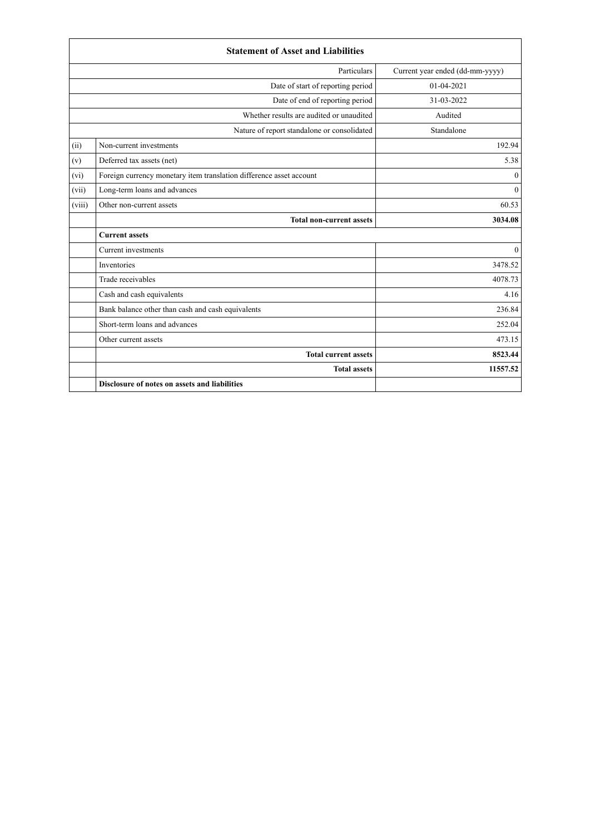|        | <b>Statement of Asset and Liabilities</b>                           |                                 |
|--------|---------------------------------------------------------------------|---------------------------------|
|        | Particulars                                                         | Current year ended (dd-mm-yyyy) |
|        | Date of start of reporting period                                   | $01-04-2021$                    |
|        | Date of end of reporting period                                     | 31-03-2022                      |
|        | Whether results are audited or unaudited                            | Audited                         |
|        | Nature of report standalone or consolidated                         | Standalone                      |
| (ii)   | Non-current investments                                             | 192.94                          |
| (v)    | Deferred tax assets (net)                                           | 5.38                            |
| (vi)   | Foreign currency monetary item translation difference asset account | $\theta$                        |
| (vii)  | Long-term loans and advances                                        | $\mathbf{0}$                    |
| (viii) | Other non-current assets                                            | 60.53                           |
|        | <b>Total non-current assets</b>                                     | 3034.08                         |
|        | <b>Current assets</b>                                               |                                 |
|        | Current investments                                                 | $\theta$                        |
|        | Inventories                                                         | 3478.52                         |
|        | Trade receivables                                                   | 4078.73                         |
|        | Cash and cash equivalents                                           | 4.16                            |
|        | Bank balance other than cash and cash equivalents                   | 236.84                          |
|        | Short-term loans and advances                                       | 252.04                          |
|        | Other current assets                                                | 473.15                          |
|        | <b>Total current assets</b>                                         | 8523.44                         |
|        | <b>Total assets</b>                                                 | 11557.52                        |
|        | Disclosure of notes on assets and liabilities                       |                                 |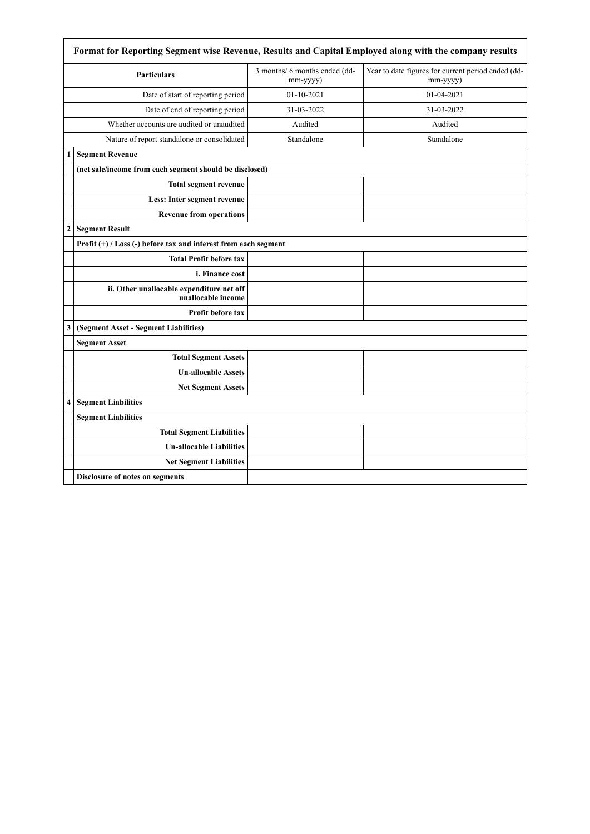|                  | Format for Reporting Segment wise Revenue, Results and Capital Employed along with the company results |                                           |                                                                |
|------------------|--------------------------------------------------------------------------------------------------------|-------------------------------------------|----------------------------------------------------------------|
|                  | <b>Particulars</b>                                                                                     | 3 months/ 6 months ended (dd-<br>mm-yyyy) | Year to date figures for current period ended (dd-<br>mm-yyyy) |
|                  | Date of start of reporting period                                                                      | $01-10-2021$                              | 01-04-2021                                                     |
|                  | Date of end of reporting period                                                                        | 31-03-2022                                | 31-03-2022                                                     |
|                  | Whether accounts are audited or unaudited                                                              | Audited                                   | Audited                                                        |
|                  | Nature of report standalone or consolidated                                                            | Standalone                                | Standalone                                                     |
| 1                | <b>Segment Revenue</b>                                                                                 |                                           |                                                                |
|                  | (net sale/income from each segment should be disclosed)                                                |                                           |                                                                |
|                  | <b>Total segment revenue</b>                                                                           |                                           |                                                                |
|                  | Less: Inter segment revenue                                                                            |                                           |                                                                |
|                  | <b>Revenue from operations</b>                                                                         |                                           |                                                                |
| $\boldsymbol{2}$ | <b>Segment Result</b>                                                                                  |                                           |                                                                |
|                  | Profit (+) / Loss (-) before tax and interest from each segment                                        |                                           |                                                                |
|                  | <b>Total Profit before tax</b>                                                                         |                                           |                                                                |
|                  | i. Finance cost                                                                                        |                                           |                                                                |
|                  | ii. Other unallocable expenditure net off<br>unallocable income                                        |                                           |                                                                |
|                  | <b>Profit before tax</b>                                                                               |                                           |                                                                |
| 3                | (Segment Asset - Segment Liabilities)                                                                  |                                           |                                                                |
|                  | <b>Segment Asset</b>                                                                                   |                                           |                                                                |
|                  | <b>Total Segment Assets</b>                                                                            |                                           |                                                                |
|                  | <b>Un-allocable Assets</b>                                                                             |                                           |                                                                |
|                  | <b>Net Segment Assets</b>                                                                              |                                           |                                                                |
| $\overline{4}$   | <b>Segment Liabilities</b>                                                                             |                                           |                                                                |
|                  | <b>Segment Liabilities</b>                                                                             |                                           |                                                                |
|                  | <b>Total Segment Liabilities</b>                                                                       |                                           |                                                                |
|                  | <b>Un-allocable Liabilities</b>                                                                        |                                           |                                                                |
|                  | <b>Net Segment Liabilities</b>                                                                         |                                           |                                                                |
|                  | Disclosure of notes on segments                                                                        |                                           |                                                                |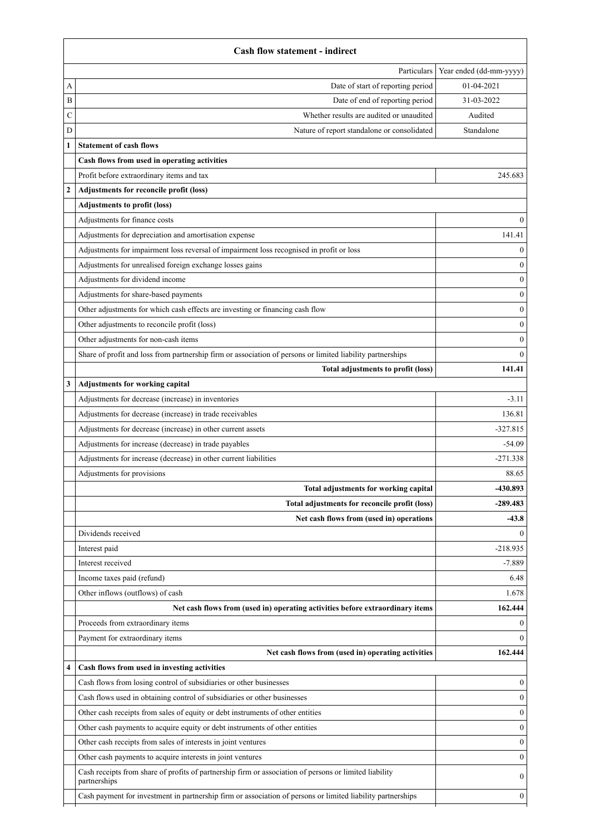|                  | <b>Cash flow statement - indirect</b>                                                                                                                                                                                                 |                         |
|------------------|---------------------------------------------------------------------------------------------------------------------------------------------------------------------------------------------------------------------------------------|-------------------------|
|                  | Particulars                                                                                                                                                                                                                           | Year ended (dd-mm-yyyy) |
| А                | Date of start of reporting period                                                                                                                                                                                                     | 01-04-2021              |
| B                | Date of end of reporting period                                                                                                                                                                                                       | 31-03-2022              |
| C                | Whether results are audited or unaudited                                                                                                                                                                                              | Audited                 |
| D                | Nature of report standalone or consolidated                                                                                                                                                                                           | Standalone              |
|                  | <b>Statement of cash flows</b>                                                                                                                                                                                                        |                         |
|                  | Cash flows from used in operating activities                                                                                                                                                                                          |                         |
|                  | Profit before extraordinary items and tax                                                                                                                                                                                             | 245.683                 |
| $\boldsymbol{2}$ | Adjustments for reconcile profit (loss)                                                                                                                                                                                               |                         |
|                  | <b>Adjustments to profit (loss)</b>                                                                                                                                                                                                   |                         |
|                  | Adjustments for finance costs                                                                                                                                                                                                         | $\theta$                |
|                  | Adjustments for depreciation and amortisation expense                                                                                                                                                                                 | 141.41                  |
|                  | Adjustments for impairment loss reversal of impairment loss recognised in profit or loss                                                                                                                                              | $\boldsymbol{0}$        |
|                  | Adjustments for unrealised foreign exchange losses gains                                                                                                                                                                              | $\theta$                |
|                  | Adjustments for dividend income                                                                                                                                                                                                       | $\theta$                |
|                  | Adjustments for share-based payments                                                                                                                                                                                                  | 0                       |
|                  | Other adjustments for which cash effects are investing or financing cash flow                                                                                                                                                         | $\theta$                |
|                  | Other adjustments to reconcile profit (loss)                                                                                                                                                                                          | O                       |
|                  | Other adjustments for non-cash items                                                                                                                                                                                                  | 0                       |
|                  | Share of profit and loss from partnership firm or association of persons or limited liability partnerships                                                                                                                            | $\theta$                |
|                  | Total adjustments to profit (loss)                                                                                                                                                                                                    | 141.41                  |
| 3                | Adjustments for working capital                                                                                                                                                                                                       |                         |
|                  | Adjustments for decrease (increase) in inventories                                                                                                                                                                                    | $-3.11$                 |
|                  | Adjustments for decrease (increase) in trade receivables                                                                                                                                                                              | 136.81                  |
|                  | Adjustments for decrease (increase) in other current assets                                                                                                                                                                           | $-327.815$              |
|                  | Adjustments for increase (decrease) in trade payables                                                                                                                                                                                 | $-54.09$                |
|                  | Adjustments for increase (decrease) in other current liabilities                                                                                                                                                                      | $-271.338$              |
|                  | Adjustments for provisions                                                                                                                                                                                                            | 88.65                   |
|                  | Total adjustments for working capital                                                                                                                                                                                                 | -430.893                |
|                  | Total adjustments for reconcile profit (loss)                                                                                                                                                                                         | $-289.483$              |
|                  | Net cash flows from (used in) operations                                                                                                                                                                                              | $-43.8$                 |
|                  | Dividends received                                                                                                                                                                                                                    | 0                       |
|                  | Interest paid                                                                                                                                                                                                                         | $-218.935$              |
|                  | Interest received                                                                                                                                                                                                                     | $-7.889$                |
|                  | Income taxes paid (refund)                                                                                                                                                                                                            | 6.48                    |
|                  | Other inflows (outflows) of cash                                                                                                                                                                                                      | 1.678                   |
|                  | Net cash flows from (used in) operating activities before extraordinary items                                                                                                                                                         | 162.444                 |
|                  | Proceeds from extraordinary items                                                                                                                                                                                                     | 0                       |
|                  | Payment for extraordinary items                                                                                                                                                                                                       | 0                       |
|                  | Net cash flows from (used in) operating activities                                                                                                                                                                                    | 162,444                 |
| 4                | Cash flows from used in investing activities                                                                                                                                                                                          |                         |
|                  | Cash flows from losing control of subsidiaries or other businesses                                                                                                                                                                    | $\boldsymbol{0}$        |
|                  | Cash flows used in obtaining control of subsidiaries or other businesses                                                                                                                                                              | $\theta$                |
|                  | Other cash receipts from sales of equity or debt instruments of other entities                                                                                                                                                        | $\theta$                |
|                  | Other cash payments to acquire equity or debt instruments of other entities                                                                                                                                                           | $\Omega$                |
|                  | Other cash receipts from sales of interests in joint ventures                                                                                                                                                                         | $\theta$                |
|                  |                                                                                                                                                                                                                                       |                         |
|                  |                                                                                                                                                                                                                                       |                         |
|                  | Other cash payments to acquire interests in joint ventures                                                                                                                                                                            | $\theta$                |
|                  | Cash receipts from share of profits of partnership firm or association of persons or limited liability<br>partnerships<br>Cash payment for investment in partnership firm or association of persons or limited liability partnerships | $\theta$<br>$\theta$    |